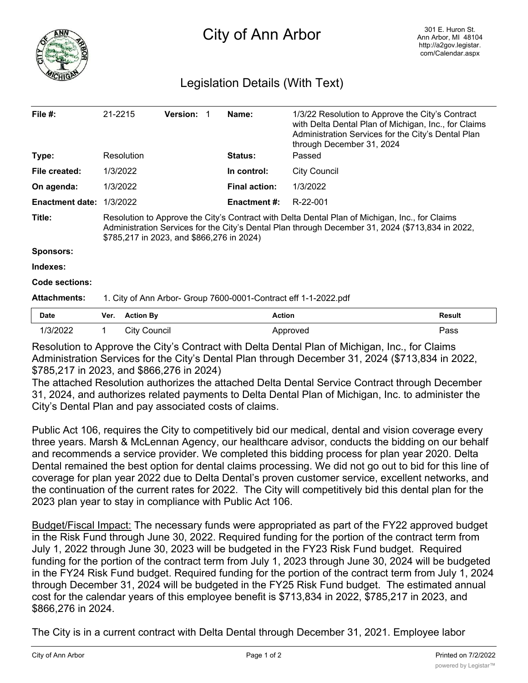

## Legislation Details (With Text)

| File $#$ :             | 21-2215                                                                                                                                                                                                                                         | <b>Version: 1</b> |             | Name:                | 1/3/22 Resolution to Approve the City's Contract<br>with Delta Dental Plan of Michigan, Inc., for Claims<br>Administration Services for the City's Dental Plan<br>through December 31, 2024 |  |
|------------------------|-------------------------------------------------------------------------------------------------------------------------------------------------------------------------------------------------------------------------------------------------|-------------------|-------------|----------------------|---------------------------------------------------------------------------------------------------------------------------------------------------------------------------------------------|--|
| Type:                  | Resolution                                                                                                                                                                                                                                      |                   |             | <b>Status:</b>       | Passed                                                                                                                                                                                      |  |
| File created:          | 1/3/2022                                                                                                                                                                                                                                        |                   | In control: | <b>City Council</b>  |                                                                                                                                                                                             |  |
| On agenda:             | 1/3/2022                                                                                                                                                                                                                                        |                   |             | <b>Final action:</b> | 1/3/2022                                                                                                                                                                                    |  |
| <b>Enactment date:</b> | 1/3/2022                                                                                                                                                                                                                                        |                   |             | <b>Enactment #:</b>  | R-22-001                                                                                                                                                                                    |  |
| Title:                 | Resolution to Approve the City's Contract with Delta Dental Plan of Michigan, Inc., for Claims<br>Administration Services for the City's Dental Plan through December 31, 2024 (\$713,834 in 2022,<br>\$785,217 in 2023, and \$866,276 in 2024) |                   |             |                      |                                                                                                                                                                                             |  |
| <b>Sponsors:</b>       |                                                                                                                                                                                                                                                 |                   |             |                      |                                                                                                                                                                                             |  |
| Indexes:               |                                                                                                                                                                                                                                                 |                   |             |                      |                                                                                                                                                                                             |  |
| Code sections:         |                                                                                                                                                                                                                                                 |                   |             |                      |                                                                                                                                                                                             |  |
| <b>Attachments:</b>    | 1. City of Ann Arbor- Group 7600-0001-Contract eff 1-1-2022.pdf                                                                                                                                                                                 |                   |             |                      |                                                                                                                                                                                             |  |
|                        |                                                                                                                                                                                                                                                 |                   |             |                      |                                                                                                                                                                                             |  |

| <b>Date</b>                   | Ver. | <b>Action By</b>           | <b>Action</b>                             | Result        |
|-------------------------------|------|----------------------------|-------------------------------------------|---------------|
| 1/3/2022                      |      | City Council               | Approved                                  | Pass          |
| $\overline{\phantom{0}}$<br>. |      | $\sim$ $\sim$<br>$\cdot$ . | .<br>$\cdots$ $\sim$ $\cdots$ $\sim$<br>. | $\sim$ $\sim$ |

Resolution to Approve the City's Contract with Delta Dental Plan of Michigan, Inc., for Claims Administration Services for the City's Dental Plan through December 31, 2024 (\$713,834 in 2022, \$785,217 in 2023, and \$866,276 in 2024)

The attached Resolution authorizes the attached Delta Dental Service Contract through December 31, 2024, and authorizes related payments to Delta Dental Plan of Michigan, Inc. to administer the City's Dental Plan and pay associated costs of claims.

Public Act 106, requires the City to competitively bid our medical, dental and vision coverage every three years. Marsh & McLennan Agency, our healthcare advisor, conducts the bidding on our behalf and recommends a service provider. We completed this bidding process for plan year 2020. Delta Dental remained the best option for dental claims processing. We did not go out to bid for this line of coverage for plan year 2022 due to Delta Dental's proven customer service, excellent networks, and the continuation of the current rates for 2022. The City will competitively bid this dental plan for the 2023 plan year to stay in compliance with Public Act 106.

Budget/Fiscal Impact: The necessary funds were appropriated as part of the FY22 approved budget in the Risk Fund through June 30, 2022. Required funding for the portion of the contract term from July 1, 2022 through June 30, 2023 will be budgeted in the FY23 Risk Fund budget. Required funding for the portion of the contract term from July 1, 2023 through June 30, 2024 will be budgeted in the FY24 Risk Fund budget. Required funding for the portion of the contract term from July 1, 2024 through December 31, 2024 will be budgeted in the FY25 Risk Fund budget. The estimated annual cost for the calendar years of this employee benefit is \$713,834 in 2022, \$785,217 in 2023, and \$866,276 in 2024.

The City is in a current contract with Delta Dental through December 31, 2021. Employee labor